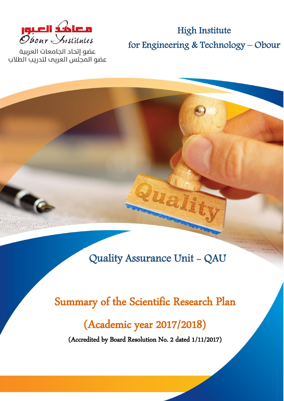

عضو إتحاد الحامعات العربية عضو المجلس العربب لتدريب الطلاب

High Institute for Engineering & Technology – Obour

Quality Assurance Unit - QAU

uali

# Summary of the Scientific Research Plan

# (Academic year 2017/2018)

(Accredited by Board Resolution No. 2 dated 1/11/2017)

**Summary of Scientific Research Plan 0**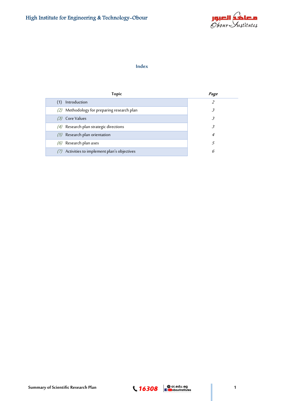

## **Index**

| <b>Topic</b>                                | Page |
|---------------------------------------------|------|
| Introduction                                |      |
| (2) Methodology for preparing research plan | 3    |
| (3) Core Values                             | 3    |
| $(4)$ Research plan strategic directions    | 3.   |
| $(5)$ Research plan orientation             | 4    |
| $(6)$ Research plan axes                    | 5    |
| Activities to implement plan's objectives   | 6    |

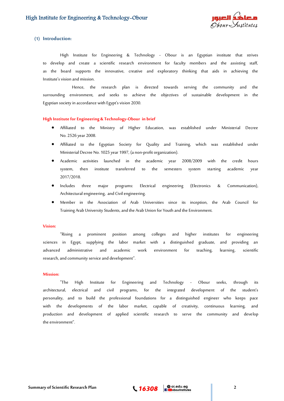

## **(1) Introduction:**

High Institute for Engineering & Technology - Obour is an Egyptian institute that strives to develop and create a scientific research environment for faculty members and the assisting staff, as the board supports the innovative, creative and exploratory thinking that aids in achieving the Institute's vision and mission.

 Hence, the research plan is directed towards serving the community and the surrounding environment, and seeks to achieve the objectives of sustainable development in the Egyptian society in accordance with Egypt's vision 2030.

#### **High Institute for Engineering & Technology-Obour in brief**

- Affiliated to the Ministry of Higher Education, was established under Ministerial Decree No. 2526 year 2008.
- Affiliated to the Egyptian Society for Quality and Training, which was established under Ministerial Decree No. 1025 year 1997, (a non-profit organization).
- Academic activities launched in the academic year 2008/2009 with the credit hours system, then institute transferred to the semesters system starting academic year 2017/2018.
- Includes three major programs: Electrical engineering (Electronics & Communication), Architectural engineering, and Civil engineering.
- Member in the Association of Arab Universities since its inception, the Arab Council for Training Arab University Students, and the Arab Union for Youth and the Environment.

#### **Vision:**

"Rising a prominent position among colleges and higher institutes for engineering sciences in Egypt, supplying the labor market with a distinguished graduate, and providing an advanced administrative and academic work environment for teaching, learning, scientific research, and community service and development".

#### **Mission:**

"The High Institute for Engineering and Technology - Obour seeks, through its architectural, electrical and civil programs, for the integrated development of the student's personality, and to build the professional foundations for a distinguished engineer who keeps pace with the developments of the labor market, capable of creativity, continuous learning, and production and development of applied scientific research to serve the community and develop the environment".

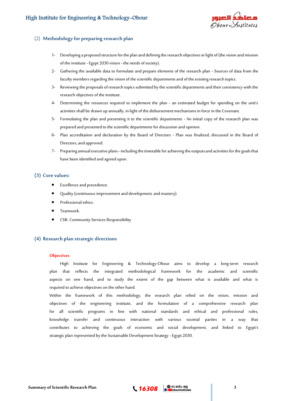

## (2) **Methodology for preparing research plan**

- 1- Developing a proposed structure for the plan and defining the research objectives in light of (the vision and mission of the institute -Egypt 2030 vision - the needs of society).
- 2- Gathering the available data to formulate and prepare elements of the research plan Sources of data from the faculty members regarding the vision of the scientific departments and of the existing research topics.
- 3- Reviewing the proposals of research topics submitted by the scientific departments and their consistency with the research objectives of the institute.
- 4- Determining the resources required to implement the plan an estimated budget for spending on the unit's activities shall be drawn up annually, in light of the disbursement mechanisms in force in the Covenant.
- 5- Formulating the plan and presenting it to the scientific departments An initial copy of the research plan was prepared and presented to the scientific departments for discussion and opinion.
- 6- Plan accreditation and declaration by the Board of Directors Plan was finalized, discussed in the Board of Directors, and approved.
- 7- Preparing annual executive plans- includingthe timetable for achieving the outputs and activities for the goals that have been identified and agreed upon.

### **(3) Core values:**

- Excellence and precedence.
- Quality (continuous improvement and development, and mastery).
- Professional ethics.
- Teamwork.
- CSR- Community Services Responsibility

## **(4) Research plan strategic directions**

#### **Objectives**

High Institute for Engineering & Technology-Obour aims to develop a long-term research plan that reflects the integrated methodological framework for the academic and scientific aspects on one hand, and to study the extent of the gap between what is available and what is required to achieve objectives on the other hand.

Within the framework of this methodology, the research plan relied on the vision, mission and objectives of the engineering institute, and the formulation of a comprehensive research plan for all scientific programs in line with national standards and ethical and professional rules, knowledge transfer and continuous interaction with various societal parties in a way that contributes to achieving the goals of economic and social development, and linked to Egypt's strategic plan represented by the Sustainable Development Strategy -Egypt 2030.

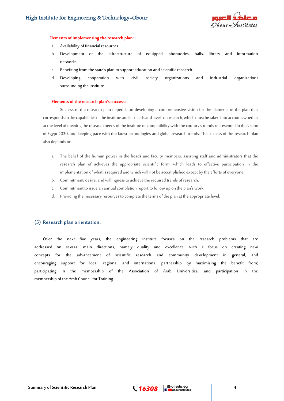

#### **Elements of implementing the research plan:**

- a. Availability of financial resources.
- b. Development of the infrastructure of equipped laboratories, halls, library and information networks.
- c. Benefiting from the state's plan to support education and scientific research.
- d. Developing cooperation with civil society organizations and industrial organizations surrounding the institute.

#### **Elements of the research plan's success:**

Success of the research plan depends on developing a comprehensive vision for the elements of the plan that corresponds to the capabilities of the institute and its needs and levels of research, which must be taken into account, whether at the level of meeting the research needs of the institute or compatibility with the country's trends represented in the vision of Egypt 2030, and keeping pace with the latest technologies and global research trends. The success of the research plan also depends on:

- a. The belief of the human power in the heads and faculty members, assisting staff and administrators that the research plan of achieves the appropriate scientific form, which leads to effective participation in the implementation of what is required and which will not be accomplished except by the efforts of everyone.
- b. Commitment, desire, and willingness to achieve the required trends of research.
- c. Commitment to issue an annual completion report to follow up on the plan's work.
- d. Providing the necessary resources to complete the terms of the plan at the appropriate level.

## **(5) Research plan orientation:**

Over the next five years, the engineering institute focuses on the research problems that are addressed on several main directions, namely quality and excellence, with a focus on creating new concepts for the advancement of scientific research and community development in general, and encouraging support for local, regional and international partnership by maximizing the benefit from; participating in the membership of the Association of Arab Universities, and participation in the membership of the Arab Council for Training

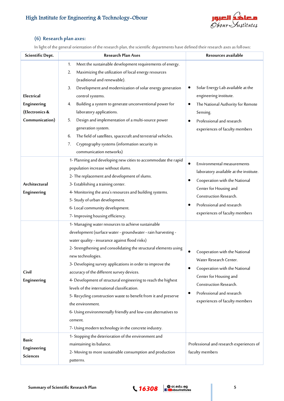# High Institute for Engineering & Technology-Obour



## **(6) Research plan axes:**

In light of the general orientation of the research plan, the scientific departments have defined their research axes as follows:

| Scientific Dept.                                              | <b>Research Plan Axes</b>                                                                                                                                                                                                                                                                                                                                                                                                                                                                                                                                                                                                                                                                                           | Resources available                                                                                                                                                                                                           |
|---------------------------------------------------------------|---------------------------------------------------------------------------------------------------------------------------------------------------------------------------------------------------------------------------------------------------------------------------------------------------------------------------------------------------------------------------------------------------------------------------------------------------------------------------------------------------------------------------------------------------------------------------------------------------------------------------------------------------------------------------------------------------------------------|-------------------------------------------------------------------------------------------------------------------------------------------------------------------------------------------------------------------------------|
| Electrical<br>Engineering<br>(Electronics &<br>Communication) | Meet the sustainable development requirements of energy.<br>1.<br>Maximizing the utilization of local energy resources<br>2.<br>(traditional and renewable).<br>Development and modernization of solar energy generation<br>3.<br>control systems.<br>Building a system to generate unconventional power for<br>4.<br>laboratory applications.<br>Design and implementation of a multi-source power<br>5.<br>generation system.<br>The field of satellites, spacecraft and terrestrial vehicles.<br>6.<br>Cryptography systems (information security in<br>7.<br>communication networks)                                                                                                                            | Solar Energy Lab available at the<br>engineering institute.<br>The National Authority for Remote<br>Sensing.<br>Professional and research<br>experiences of faculty members                                                   |
| Architectural<br>Engineering                                  | 1- Planning and developing new cities to accommodate the rapid<br>population increase without slums.<br>2- The replacement and development of slums.<br>3- Establishing a training center.<br>4- Monitoring the area's resources and building systems.<br>5- Study of urban development.<br>6-Local community development.<br>7- Improving housing efficiency.                                                                                                                                                                                                                                                                                                                                                      | Environmental measurements<br>laboratory available at the institute.<br>Cooperation with the National<br>٠<br>Center for Housing and<br>Construction Research.<br>Professional and research<br>experiences of faculty members |
| Civil<br>Engineering                                          | 1- Managing water resources to achieve sustainable<br>development (surface water - groundwater - rain harvesting -<br>water quality - insurance against flood risks)<br>2- Strengthening and consolidating the structural elements using<br>new technologies.<br>3- Developing survey applications in order to improve the<br>accuracy of the different survey devices.<br>4- Development of structural engineering to reach the highest<br>levels of the international classification.<br>5- Recycling construction waste to benefit from it and preserve<br>the environment.<br>6- Using environmentally friendly and low-cost alternatives to<br>cement.<br>7- Using modern technology in the concrete industry. | Cooperation with the National<br>Water Research Center.<br>Cooperation with the National<br>Center for Housing and<br>Construction Research.<br>Professional and research<br>$\bullet$<br>experiences of faculty members      |
| Basic<br>Engineering<br><b>Sciences</b>                       | 1- Stopping the deterioration of the environment and<br>maintaining its balance.<br>2- Moving to more sustainable consumption and production<br>patterns.                                                                                                                                                                                                                                                                                                                                                                                                                                                                                                                                                           | Professional and research experiences of<br>faculty members                                                                                                                                                                   |